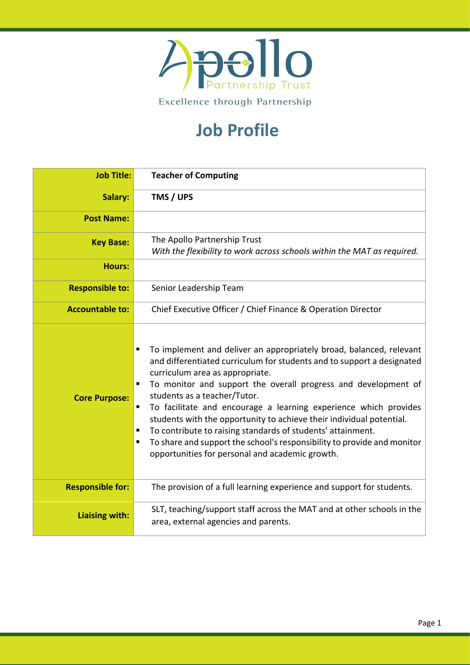

# **Job Profile**

| <b>Job Title:</b>       | <b>Teacher of Computing</b>                                                                                                                                                                                                                                                                                                                                                                                                                                                                                                                                                                                                                          |  |  |
|-------------------------|------------------------------------------------------------------------------------------------------------------------------------------------------------------------------------------------------------------------------------------------------------------------------------------------------------------------------------------------------------------------------------------------------------------------------------------------------------------------------------------------------------------------------------------------------------------------------------------------------------------------------------------------------|--|--|
| Salary:                 | TMS / UPS                                                                                                                                                                                                                                                                                                                                                                                                                                                                                                                                                                                                                                            |  |  |
| <b>Post Name:</b>       |                                                                                                                                                                                                                                                                                                                                                                                                                                                                                                                                                                                                                                                      |  |  |
| <b>Key Base:</b>        | The Apollo Partnership Trust<br>With the flexibility to work across schools within the MAT as required.                                                                                                                                                                                                                                                                                                                                                                                                                                                                                                                                              |  |  |
| <b>Hours:</b>           |                                                                                                                                                                                                                                                                                                                                                                                                                                                                                                                                                                                                                                                      |  |  |
| <b>Responsible to:</b>  | Senior Leadership Team                                                                                                                                                                                                                                                                                                                                                                                                                                                                                                                                                                                                                               |  |  |
| <b>Accountable to:</b>  | Chief Executive Officer / Chief Finance & Operation Director                                                                                                                                                                                                                                                                                                                                                                                                                                                                                                                                                                                         |  |  |
| <b>Core Purpose:</b>    | To implement and deliver an appropriately broad, balanced, relevant<br>٠<br>and differentiated curriculum for students and to support a designated<br>curriculum area as appropriate.<br>To monitor and support the overall progress and development of<br>٠<br>students as a teacher/Tutor.<br>To facilitate and encourage a learning experience which provides<br>٠<br>students with the opportunity to achieve their individual potential.<br>To contribute to raising standards of students' attainment.<br>п<br>To share and support the school's responsibility to provide and monitor<br>٠<br>opportunities for personal and academic growth. |  |  |
| <b>Responsible for:</b> | The provision of a full learning experience and support for students.                                                                                                                                                                                                                                                                                                                                                                                                                                                                                                                                                                                |  |  |
| <b>Liaising with:</b>   | SLT, teaching/support staff across the MAT and at other schools in the<br>area, external agencies and parents.                                                                                                                                                                                                                                                                                                                                                                                                                                                                                                                                       |  |  |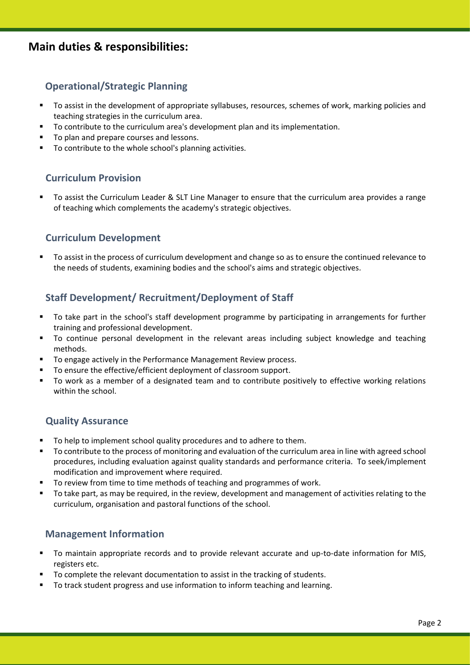# **Main duties & responsibilities:**

# **Operational/Strategic Planning**

- To assist in the development of appropriate syllabuses, resources, schemes of work, marking policies and teaching strategies in the curriculum area.
- To contribute to the curriculum area's development plan and its implementation.
- To plan and prepare courses and lessons.
- To contribute to the whole school's planning activities.

## **Curriculum Provision**

 To assist the Curriculum Leader & SLT Line Manager to ensure that the curriculum area provides a range of teaching which complements the academy's strategic objectives.

## **Curriculum Development**

 To assist in the process of curriculum development and change so as to ensure the continued relevance to the needs of students, examining bodies and the school's aims and strategic objectives.

# **Staff Development/ Recruitment/Deployment of Staff**

- To take part in the school's staff development programme by participating in arrangements for further training and professional development.
- To continue personal development in the relevant areas including subject knowledge and teaching methods.
- To engage actively in the Performance Management Review process.
- To ensure the effective/efficient deployment of classroom support.
- To work as a member of a designated team and to contribute positively to effective working relations within the school.

## **Quality Assurance**

- To help to implement school quality procedures and to adhere to them.
- To contribute to the process of monitoring and evaluation of the curriculum area in line with agreed school procedures, including evaluation against quality standards and performance criteria. To seek/implement modification and improvement where required.
- To review from time to time methods of teaching and programmes of work.
- To take part, as may be required, in the review, development and management of activities relating to the curriculum, organisation and pastoral functions of the school.

## **Management Information**

- To maintain appropriate records and to provide relevant accurate and up-to-date information for MIS, registers etc.
- To complete the relevant documentation to assist in the tracking of students.
- To track student progress and use information to inform teaching and learning.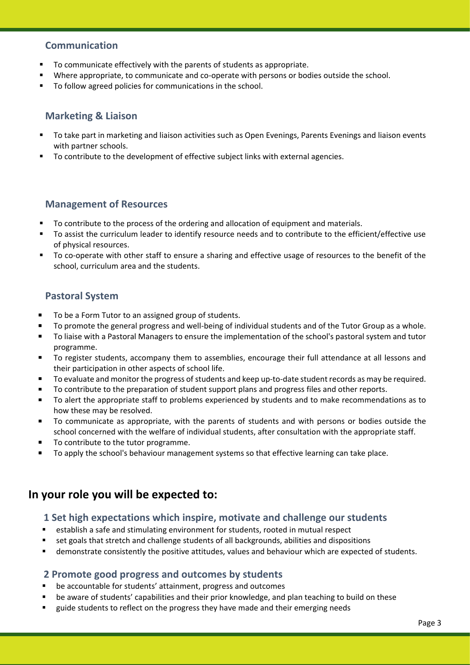## **Communication**

- To communicate effectively with the parents of students as appropriate.
- Where appropriate, to communicate and co-operate with persons or bodies outside the school.
- To follow agreed policies for communications in the school.

## **Marketing & Liaison**

- To take part in marketing and liaison activities such as Open Evenings, Parents Evenings and liaison events with partner schools.
- To contribute to the development of effective subject links with external agencies.

## **Management of Resources**

- To contribute to the process of the ordering and allocation of equipment and materials.
- To assist the curriculum leader to identify resource needs and to contribute to the efficient/effective use of physical resources.
- To co-operate with other staff to ensure a sharing and effective usage of resources to the benefit of the school, curriculum area and the students.

# **Pastoral System**

- To be a Form Tutor to an assigned group of students.
- To promote the general progress and well-being of individual students and of the Tutor Group as a whole.
- To liaise with a Pastoral Managers to ensure the implementation of the school's pastoral system and tutor programme.
- To register students, accompany them to assemblies, encourage their full attendance at all lessons and their participation in other aspects of school life.
- To evaluate and monitor the progress of students and keep up-to-date student records as may be required.
- To contribute to the preparation of student support plans and progress files and other reports.
- To alert the appropriate staff to problems experienced by students and to make recommendations as to how these may be resolved.
- To communicate as appropriate, with the parents of students and with persons or bodies outside the school concerned with the welfare of individual students, after consultation with the appropriate staff.
- To contribute to the tutor programme.
- To apply the school's behaviour management systems so that effective learning can take place.

# **In your role you will be expected to:**

## **1 Set high expectations which inspire, motivate and challenge our students**

- establish a safe and stimulating environment for students, rooted in mutual respect
- set goals that stretch and challenge students of all backgrounds, abilities and dispositions
- demonstrate consistently the positive attitudes, values and behaviour which are expected of students.

## **2 Promote good progress and outcomes by students**

- be accountable for students' attainment, progress and outcomes
- be aware of students' capabilities and their prior knowledge, and plan teaching to build on these
- guide students to reflect on the progress they have made and their emerging needs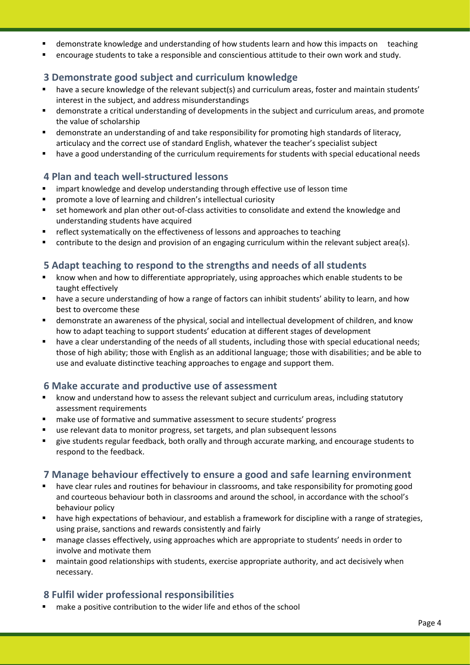- **E** demonstrate knowledge and understanding of how students learn and how this impacts on teaching
- encourage students to take a responsible and conscientious attitude to their own work and study.

# **3 Demonstrate good subject and curriculum knowledge**

- have a secure knowledge of the relevant subject(s) and curriculum areas, foster and maintain students' interest in the subject, and address misunderstandings
- demonstrate a critical understanding of developments in the subject and curriculum areas, and promote the value of scholarship
- demonstrate an understanding of and take responsibility for promoting high standards of literacy, articulacy and the correct use of standard English, whatever the teacher's specialist subject
- have a good understanding of the curriculum requirements for students with special educational needs

# **4 Plan and teach well-structured lessons**

- impart knowledge and develop understanding through effective use of lesson time
- promote a love of learning and children's intellectual curiosity
- set homework and plan other out-of-class activities to consolidate and extend the knowledge and understanding students have acquired
- reflect systematically on the effectiveness of lessons and approaches to teaching
- contribute to the design and provision of an engaging curriculum within the relevant subject area(s).

## **5 Adapt teaching to respond to the strengths and needs of all students**

- know when and how to differentiate appropriately, using approaches which enable students to be taught effectively
- have a secure understanding of how a range of factors can inhibit students' ability to learn, and how best to overcome these
- demonstrate an awareness of the physical, social and intellectual development of children, and know how to adapt teaching to support students' education at different stages of development
- have a clear understanding of the needs of all students, including those with special educational needs; those of high ability; those with English as an additional language; those with disabilities; and be able to use and evaluate distinctive teaching approaches to engage and support them.

## **6 Make accurate and productive use of assessment**

- know and understand how to assess the relevant subject and curriculum areas, including statutory assessment requirements
- make use of formative and summative assessment to secure students' progress
- use relevant data to monitor progress, set targets, and plan subsequent lessons
- give students regular feedback, both orally and through accurate marking, and encourage students to respond to the feedback.

# **7 Manage behaviour effectively to ensure a good and safe learning environment**

- have clear rules and routines for behaviour in classrooms, and take responsibility for promoting good and courteous behaviour both in classrooms and around the school, in accordance with the school's behaviour policy
- have high expectations of behaviour, and establish a framework for discipline with a range of strategies, using praise, sanctions and rewards consistently and fairly
- manage classes effectively, using approaches which are appropriate to students' needs in order to involve and motivate them
- maintain good relationships with students, exercise appropriate authority, and act decisively when necessary.

## **8 Fulfil wider professional responsibilities**

make a positive contribution to the wider life and ethos of the school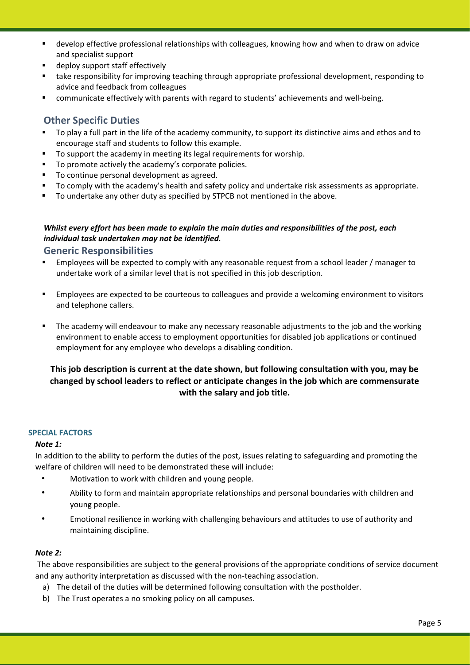- develop effective professional relationships with colleagues, knowing how and when to draw on advice and specialist support
- deploy support staff effectively
- take responsibility for improving teaching through appropriate professional development, responding to advice and feedback from colleagues
- communicate effectively with parents with regard to students' achievements and well-being.

## **Other Specific Duties**

- To play a full part in the life of the academy community, to support its distinctive aims and ethos and to encourage staff and students to follow this example.
- To support the academy in meeting its legal requirements for worship.
- To promote actively the academy's corporate policies.
- To continue personal development as agreed.
- To comply with the academy's health and safety policy and undertake risk assessments as appropriate.
- **To undertake any other duty as specified by STPCB not mentioned in the above.**

# *Whilst every effort has been made to explain the main duties and responsibilities of the post, each individual task undertaken may not be identified.*

#### **Generic Responsibilities**

- Employees will be expected to comply with any reasonable request from a school leader / manager to undertake work of a similar level that is not specified in this job description.
- **Employees are expected to be courteous to colleagues and provide a welcoming environment to visitors** and telephone callers.
- The academy will endeavour to make any necessary reasonable adjustments to the job and the working environment to enable access to employment opportunities for disabled job applications or continued employment for any employee who develops a disabling condition.

#### **This job description is current at the date shown, but following consultation with you, may be changed by school leaders to reflect or anticipate changes in the job which are commensurate with the salary and job title.**

#### **SPECIAL FACTORS**

#### *Note 1:*

In addition to the ability to perform the duties of the post, issues relating to safeguarding and promoting the welfare of children will need to be demonstrated these will include:

- Motivation to work with children and young people.
- Ability to form and maintain appropriate relationships and personal boundaries with children and young people.
- Emotional resilience in working with challenging behaviours and attitudes to use of authority and maintaining discipline.

#### *Note 2:*

The above responsibilities are subject to the general provisions of the appropriate conditions of service document and any authority interpretation as discussed with the non-teaching association.

- a) The detail of the duties will be determined following consultation with the postholder.
- b) The Trust operates a no smoking policy on all campuses.